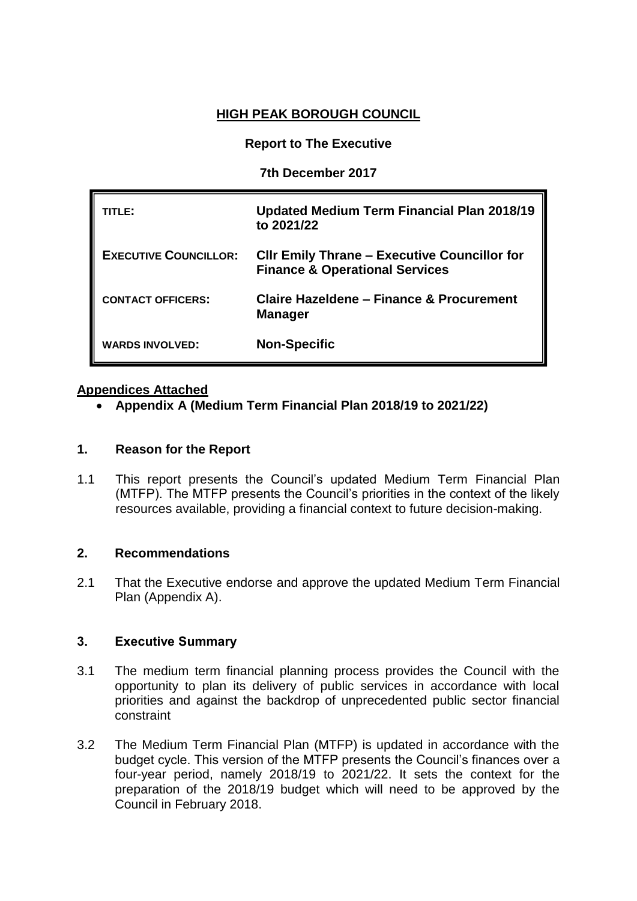## **HIGH PEAK BOROUGH COUNCIL**

#### **Report to The Executive**

**7th December 2017**

| TLE:                         | <b>Updated Medium Term Financial Plan 2018/19</b><br>to 2021/22                                  |  |
|------------------------------|--------------------------------------------------------------------------------------------------|--|
| <b>EXECUTIVE COUNCILLOR:</b> | <b>CIIr Emily Thrane - Executive Councillor for</b><br><b>Finance &amp; Operational Services</b> |  |
| <b>CONTACT OFFICERS:</b>     | <b>Claire Hazeldene - Finance &amp; Procurement</b><br><b>Manager</b>                            |  |
| <b>WARDS INVOLVED:</b>       | <b>Non-Specific</b>                                                                              |  |

## **Appendices Attached**

**[Appendix A](http://smdcintranet/committeeagendas/2012-13/Overview%20&%20Scrutiny/Resources/10Oct12/SMDC%20-%20MTFP%20Oct%202012%20(2)Agenda%20Item%207.doc) (Medium Term Financial Plan 2018/19 to 2021/22)**

## **1. Reason for the Report**

1.1 This report presents the Council's updated Medium Term Financial Plan (MTFP). The MTFP presents the Council's priorities in the context of the likely resources available, providing a financial context to future decision-making.

#### **2. Recommendations**

2.1 That the Executive endorse and approve the updated Medium Term Financial Plan (Appendix A).

#### **3. Executive Summary**

- 3.1 The medium term financial planning process provides the Council with the opportunity to plan its delivery of public services in accordance with local priorities and against the backdrop of unprecedented public sector financial constraint
- 3.2 The Medium Term Financial Plan (MTFP) is updated in accordance with the budget cycle. This version of the MTFP presents the Council's finances over a four-year period, namely 2018/19 to 2021/22. It sets the context for the preparation of the 2018/19 budget which will need to be approved by the Council in February 2018.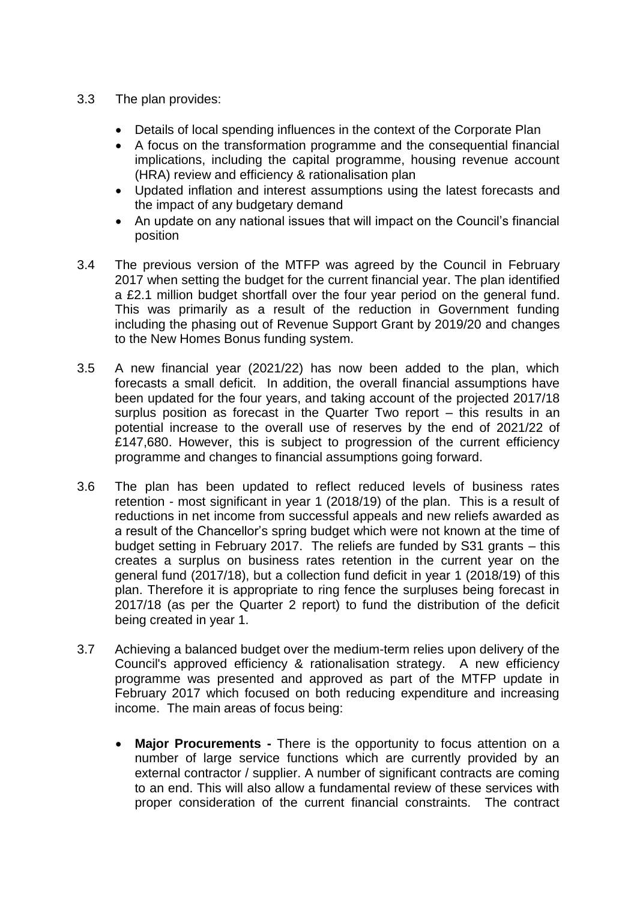## 3.3 The plan provides:

- Details of local spending influences in the context of the Corporate Plan
- A focus on the transformation programme and the consequential financial implications, including the capital programme, housing revenue account (HRA) review and efficiency & rationalisation plan
- Updated inflation and interest assumptions using the latest forecasts and the impact of any budgetary demand
- An update on any national issues that will impact on the Council's financial position
- 3.4 The previous version of the MTFP was agreed by the Council in February 2017 when setting the budget for the current financial year. The plan identified a £2.1 million budget shortfall over the four year period on the general fund. This was primarily as a result of the reduction in Government funding including the phasing out of Revenue Support Grant by 2019/20 and changes to the New Homes Bonus funding system.
- 3.5 A new financial year (2021/22) has now been added to the plan, which forecasts a small deficit. In addition, the overall financial assumptions have been updated for the four years, and taking account of the projected 2017/18 surplus position as forecast in the Quarter Two report – this results in an potential increase to the overall use of reserves by the end of 2021/22 of £147,680. However, this is subject to progression of the current efficiency programme and changes to financial assumptions going forward.
- 3.6 The plan has been updated to reflect reduced levels of business rates retention - most significant in year 1 (2018/19) of the plan. This is a result of reductions in net income from successful appeals and new reliefs awarded as a result of the Chancellor's spring budget which were not known at the time of budget setting in February 2017. The reliefs are funded by S31 grants – this creates a surplus on business rates retention in the current year on the general fund (2017/18), but a collection fund deficit in year 1 (2018/19) of this plan. Therefore it is appropriate to ring fence the surpluses being forecast in 2017/18 (as per the Quarter 2 report) to fund the distribution of the deficit being created in year 1.
- 3.7 Achieving a balanced budget over the medium-term relies upon delivery of the Council's approved efficiency & rationalisation strategy. A new efficiency programme was presented and approved as part of the MTFP update in February 2017 which focused on both reducing expenditure and increasing income. The main areas of focus being:
	- **Major Procurements -** There is the opportunity to focus attention on a number of large service functions which are currently provided by an external contractor / supplier. A number of significant contracts are coming to an end. This will also allow a fundamental review of these services with proper consideration of the current financial constraints. The contract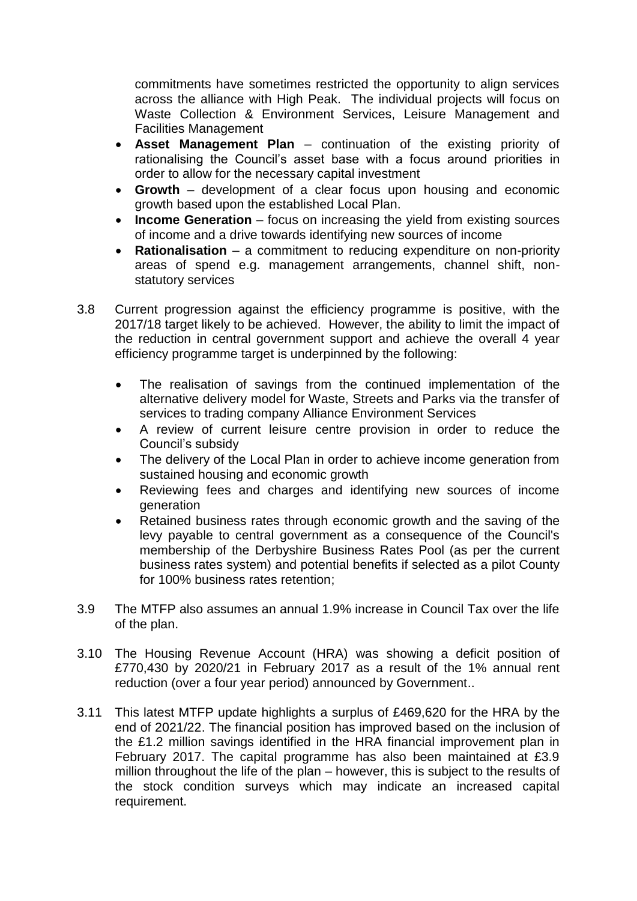commitments have sometimes restricted the opportunity to align services across the alliance with High Peak. The individual projects will focus on Waste Collection & Environment Services, Leisure Management and Facilities Management

- **Asset Management Plan** continuation of the existing priority of rationalising the Council's asset base with a focus around priorities in order to allow for the necessary capital investment
- **Growth** development of a clear focus upon housing and economic growth based upon the established Local Plan.
- **Income Generation** focus on increasing the yield from existing sources of income and a drive towards identifying new sources of income
- **Rationalisation** a commitment to reducing expenditure on non-priority areas of spend e.g. management arrangements, channel shift, nonstatutory services
- 3.8 Current progression against the efficiency programme is positive, with the 2017/18 target likely to be achieved. However, the ability to limit the impact of the reduction in central government support and achieve the overall 4 year efficiency programme target is underpinned by the following:
	- The realisation of savings from the continued implementation of the alternative delivery model for Waste, Streets and Parks via the transfer of services to trading company Alliance Environment Services
	- A review of current leisure centre provision in order to reduce the Council's subsidy
	- The delivery of the Local Plan in order to achieve income generation from sustained housing and economic growth
	- Reviewing fees and charges and identifying new sources of income generation
	- Retained business rates through economic growth and the saving of the levy payable to central government as a consequence of the Council's membership of the Derbyshire Business Rates Pool (as per the current business rates system) and potential benefits if selected as a pilot County for 100% business rates retention;
- 3.9 The MTFP also assumes an annual 1.9% increase in Council Tax over the life of the plan.
- 3.10 The Housing Revenue Account (HRA) was showing a deficit position of £770,430 by 2020/21 in February 2017 as a result of the 1% annual rent reduction (over a four year period) announced by Government..
- 3.11 This latest MTFP update highlights a surplus of £469,620 for the HRA by the end of 2021/22. The financial position has improved based on the inclusion of the £1.2 million savings identified in the HRA financial improvement plan in February 2017. The capital programme has also been maintained at £3.9 million throughout the life of the plan – however, this is subject to the results of the stock condition surveys which may indicate an increased capital requirement.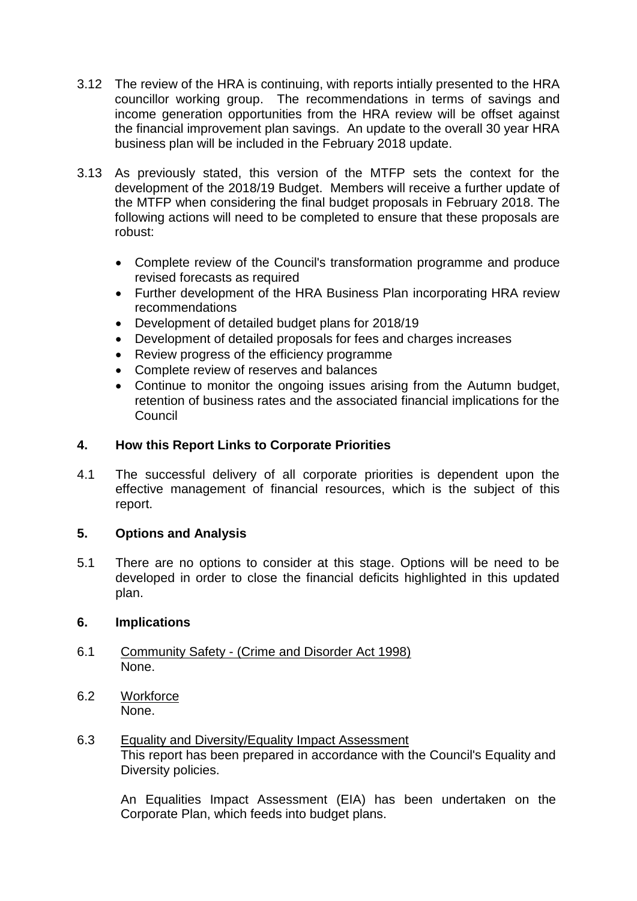- 3.12 The review of the HRA is continuing, with reports intially presented to the HRA councillor working group. The recommendations in terms of savings and income generation opportunities from the HRA review will be offset against the financial improvement plan savings. An update to the overall 30 year HRA business plan will be included in the February 2018 update.
- 3.13 As previously stated, this version of the MTFP sets the context for the development of the 2018/19 Budget. Members will receive a further update of the MTFP when considering the final budget proposals in February 2018. The following actions will need to be completed to ensure that these proposals are robust:
	- Complete review of the Council's transformation programme and produce revised forecasts as required
	- Further development of the HRA Business Plan incorporating HRA review recommendations
	- Development of detailed budget plans for 2018/19
	- Development of detailed proposals for fees and charges increases
	- Review progress of the efficiency programme
	- Complete review of reserves and balances
	- Continue to monitor the ongoing issues arising from the Autumn budget, retention of business rates and the associated financial implications for the Council

# **4. How this Report Links to Corporate Priorities**

4.1 The successful delivery of all corporate priorities is dependent upon the effective management of financial resources, which is the subject of this report.

# **5. Options and Analysis**

5.1 There are no options to consider at this stage. Options will be need to be developed in order to close the financial deficits highlighted in this updated plan.

# **6. Implications**

- 6.1 Community Safety (Crime and Disorder Act 1998) None.
- 6.2 Workforce None.
- 6.3 Equality and Diversity/Equality Impact Assessment This report has been prepared in accordance with the Council's Equality and Diversity policies.

An Equalities Impact Assessment (EIA) has been undertaken on the Corporate Plan, which feeds into budget plans.